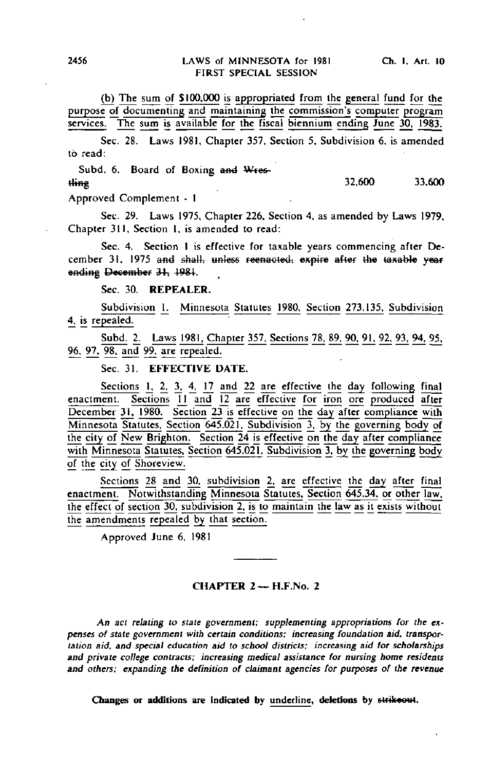(b) The sum of \$100.000 is appropriated from the general fund for the purpose of documenting and maintaining the commission's computer program

Sec. 28. Laws 1981, Chapter 357, Section 5, Subdivision 6, is amended to read:

Subd. 6. Board of Boxing and Wrestling 32,600 33,600

Approved Complement - 1

Sec. 29. Laws 1975, Chapter 226, Section 4, as amended by Laws 1979, Chapter 311, Section 1. is amended to read:

Sec. 4. Section I is effective for taxable years commencing after December 31, 1975 and shall, unless reenaoted, expire after the taxable year ending December 31, 1981.

Sec. 30. REPEALER.

Subdivision 1. Minnesota Statutes 1980, Section 273.135, Subdivision 4, is repealed.

Subd. 2. Laws 1981, Chapter 357. Sections 78. 89. 90. 91. 92. 93. 94. 95. 96, 97. 98. and 99. are repealed.

Sec. 31. EFFECTIVE DATE.

Sections 1, 2, 3, 4, 17 and 22 are effective the day following final enactment. Sections 11 and 12 are effective for iron ore produced after December 31, 1980. Section 23 is effective on the day after compliance with Minnesota Statutes, Section 645.021. Subdivision 3, by the governing body of the city of New Brighton. Section  $24$  is effective on the day after compliance with Minnesota Statutes, Section 645.021. Subdivision 3, by the governing body of the city of Shoreview.

Sections 28 and 30, subdivision 2, are effective the day after final enactment. Notwithstanding Minnesota Statutes. Section 645.34. or other law. the effect of section 30, subdivision 2, is to maintain the law as it exists without the amendments repealed by that section.

Approved June 6, 1981

## CHAPTER 2— H.F.No. 2

An act relating to state government; supplementing appropriations for the expenses of state government with certain conditions; increasing foundation aid, transportation aid, and special education aid to school districts; increasing aid for scholarships and private college contracts; increasing medical assistance for nursing home residents and others; expanding the definition of claimant agencies for purposes of the revenue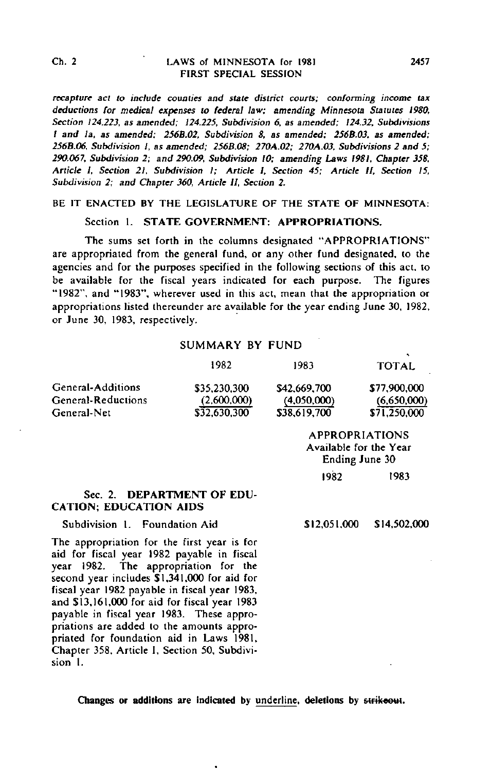# Ch. 2 LAWS of MINNESOTA for 1981 FIRST SPECIAL SESSION

recapture act to include counties and state district courts; conforming income tax deductions for medical expenses to federal law; amending Minnesota Statutes 1980, Section 124.223, as amended; 124.225, Subdivision 6, as amended; 124.32, Subdivisions I and la, as amended; 256B.02, Subdivision 8, as amended; 256B.03, as amended; 256B.Q6, Subdivision 1, as amended; 256B.08; 270A.02; 270A.03, Subdivisions 2 and 5; 290.067, Subdivision 2; and 290.09, Subdivision 10; amending Laws 1981, Chapter 358, Article I, Section 21. Subdivision I; Article I, Section 45; Article II, Section 15, Subdivision 2; and Chapter 360, Article II, Section 2.

## BE IT ENACTED BY THE LEGISLATURE OF THE STATE OF MINNESOTA:

## Section 1. STATE GOVERNMENT: APPROPRIATIONS.

The sums set forth in the columns designated "APPROPRIATIONS" are appropriated from the general fund, or any other fund designated, (o the agencies and for the purposes specified in the following sections of this act, to be available for the fiscal years indicated for each purpose. The figures "1982", and "1983", wherever used in this act, mean that the appropriation or appropriations listed thereunder are available for the year ending June 30, 1982, or June 30, 1983, respectively.

# SUMMARY BY FUND

|                    | 1982         | 1983         | <b>TOTAL</b> |
|--------------------|--------------|--------------|--------------|
| General-Additions  | \$35,230,300 | \$42,669,700 | \$77,900,000 |
| General-Reductions | (2.600.000)  | (4.050,000)  | (6,650,000)  |
| General-Net        | \$32.630.300 | \$38,619.700 | \$71.250,000 |

APPROPRIATIONS Available for the Year Ending June 30 1982 1983

# Sec. 2. DEPARTMENT OF EDU-CATION; EDUCATION AIDS

Subdivision 1. Foundation Aid

\$12,051,000 \$14,502.000

The appropriation for the first year is for aid for fiscal year 1982 payable in fiscal year 1982. The appropriation for the second year includes \$1,341.000 for aid for fiscal year 1982 payable in fiscal year 1983, and \$13,161,000 for aid for fiscal year 1983 payable in fiscal year 1983. These appropriations are added to the amounts appropriated for foundation aid in Laws 1981. Chapter 358. Article I, Section 50, Subdivision 1.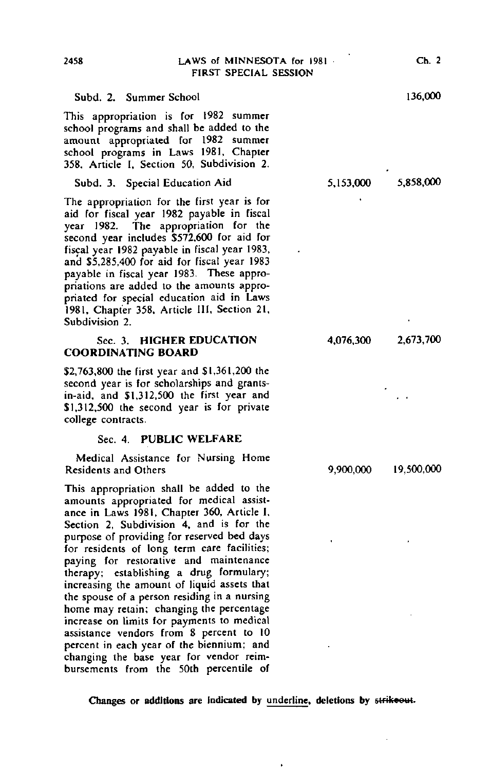## Subd. 2. Summer School

This appropriation is for 1982 summer school programs and shall be added to the amount appropriated for 1982 summer school programs in Laws 1981, Chapter 358, Article I, Section 50, Subdivision 2.

## Subd. 3. Special Education Aid

The appropriation for the first year is for aid for fiscal year 1982 payable in fiscal year 1982. The appropriation for the second year includes \$572,600 for aid for fiscal year 1982 payable in fiscal year 1983, and \$5,285,400 for aid for fiscal year 1983 payable in fiscal year 1983. These appropriations are added to the amounts appropriated for special education aid in Laws 1981, Chapter 358, Article III, Section 21, Subdivision 2.

## Sec. 3. HIGHER EDUCATION COORDINATING BOARD

\$2,763,800 the first year and \$1,361,200 the second year is for scholarships and grantsin-aid, and \$1,312,500 the first year and \$1,312,500 the second year is for private college contracts.

## Sec. 4. PUBLIC WELFARE

Medical Assistance for Nursing Home Residents and Others

This appropriation shall be added to the amounts appropriated for medical assistance in Laws 1981, Chapter 360, Article I, Section 2, Subdivision 4, and is for the purpose of providing for reserved bed days for residents of long term care facilities; paying for restorative and maintenance therapy; establishing a drug formulary; increasing the amount of liquid assets that the spouse of a person residing in a nursing home may retain; changing the percentage increase on limits for payments to medical assistance vendors from 8 percent to 10 percent in each year of the biennium; and changing the base year for vendor reimbursements from the 50th percentile of 5,153,000 5,858,000

4,076,300 2,673,700

9,900,000 19,500,000

Changes or additions are indicated by underline, deletions by strikeout.

136,000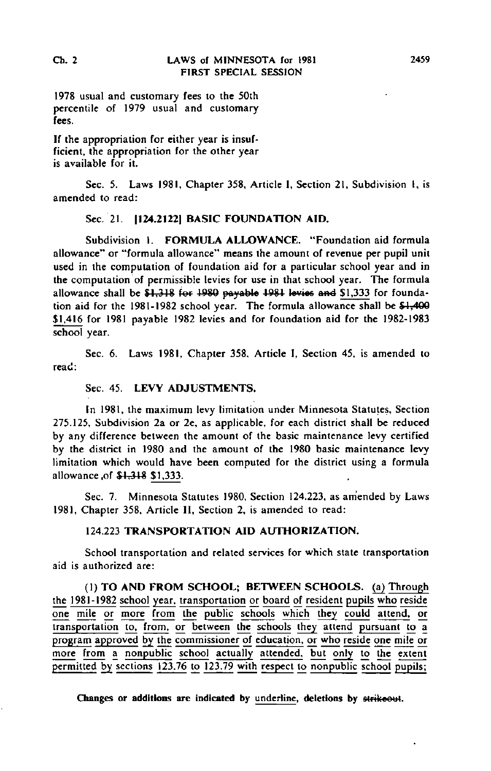1978 usual and customary fees to the 50th percentile of 1979 usual and customary fees.

If the appropriation for either year is insufficient, the appropriation for the other year is available for it.

Sec. 5. Laws 1981, Chapter 358, Article I, Section 21, Subdivision 1, is amended to read:

# Sec. 21. 1124.21221 BASIC FOUNDATION AID.

Subdivision I. FORMULA ALLOWANCE. "Foundation aid formula allowance" or "formula allowance" means the amount of revenue per pupil unit used in the computation of foundation aid for a particular school year and in the computation of permissible levies for use in that school year. The formula allowance shall be  $$1,318$  for 1980 payable 1981 levies and  $$1,333$  for foundation aid for the 1981-1982 school year. The formula allowance shall be \$1,400 \$1.416 for 1981 payable 1982 levies and for foundation aid for the 1982-1983 school year.

Sec. 6. Laws 1981, Chapter 358, Article I, Section 45, is amended to read:

# Sec. 45. LEVY ADJUSTMENTS.

In 1981, the maximum levy limitation under Minnesota Statutes, Section 275.125, Subdivision 2a or 2e, as applicable, for each district shall be reduced by any difference between the amount of the basic maintenance levy certified by the district in 1980 and the amount of the 1980 basic maintenance levy limitation which would have been computed for the district using a formula allowance .of \$1,318 \$1,333.

Sec. 7. Minnesota Statutes 1980, Section 124.223, as amended by Laws 1981, Chapter 358, Article II, Section 2, is amended to read:

# 124.223 TRANSPORTATION AID AUTHORIZATION.

School transportation and related services for which state transportation aid is authorized are:

(1) TO AND FROM SCHOOL; BETWEEN SCHOOLS, (a) Through the 1981-1982 school year, transportation or board of resident pupils who reside one mile or more from the public schools which they could attend, or transportation to, from, or between the schools they attend pursuant to a program approved by the commissioner of education, or who reside one mile or more from a nonpublic school actually attended, but only to the extent permitted by sections 123.76 to 123.79 with respect to nonpublic school pupils;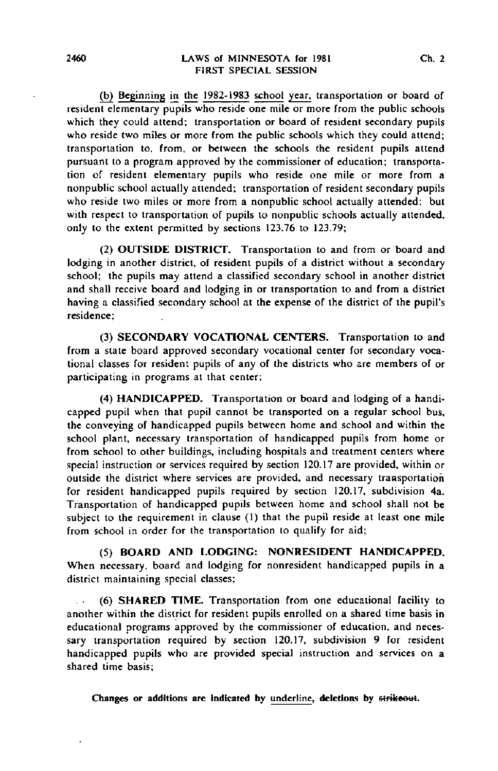## 2460 LAWS of MINNESOTA for 1981 Ch. 2 FIRST SPECIAL SESSION

(b) Beginning in the 1982-1983 school year, transportation or board of resident elementary pupils who reside one mile or more from the public schools which they could attend; transportation or board of resident secondary pupils who reside two miles or more from the public schools which they could attend; transportation to, from, or between the schools the resident pupils attend pursuant to a program approved by the commissioner of education; transportation of resident elementary pupils who reside one mile or more from a nonpublic school actually attended; transportation of resident secondary pupils who reside two miles or more from a nonpublic school actually attended; but with respect to transportation of pupils to nonpublic schools actually attended, only to the extent permitted by sections 123.76 to 123.79;

(2) OUTSIDE DISTRICT. Transportation to and from or board and lodging in another district, of resident pupils of a district without a secondary school; the pupils may attend a classified secondary school in another district and shall receive board and lodging in or transportation to and from a district having a classified secondary school at the expense of the district of the pupil's residence;

(3) SECONDARY VOCATIONAL CENTERS. Transportation to and from a state board approved secondary vocational center for secondary vocational classes for resident pupils of any of the districts who are members of or participating in programs at that center;

(4) HANDICAPPED. Transportation or board and lodging of a handicapped pupil when that pupil cannot be transported on a regular school bus, the conveying of handicapped pupils between home and school and within the school plant, necessary transportation of handicapped pupils from home or from school to other buildings, including hospitals and treatment centers where special instruction or services required by section 120.17 are provided, within or outside the district where services are provided, and necessary transportation for resident handicapped pupils required by section 120.17, subdivision 4a. Transportation of handicapped pupils between home and school shall not be subject to the requirement in clause (1) that the pupil reside at least one mile from school in order for the transportation to qualify for aid;

(5) BOARD AND LODGING: NONRESIDENT HANDICAPPED. When necessary, board and lodging for nonresident handicapped pupils in a district maintaining special classes;

(6) SHARED TIME. Transportation from one educational facility to  $\mathbb{R}^{\mathbb{Z}}$ another within the district for resident pupils enrolled on a shared time basis in educational programs approved by the commissioner of education, and necessary transportation required by section 120.17, subdivision 9 for resident handicapped pupils who are provided special instruction and services on a shared time basis;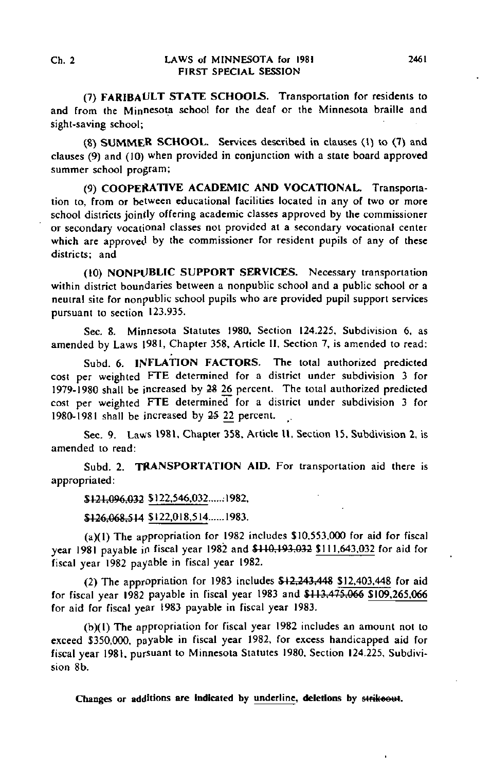(7) FARIBAULT STATE SCHOOLS. Transportation for residents to and from the Minnesota school for the deaf or the Minnesota braille and sight-saving school;

(8) SUMMER SCHOOL. Services described in clauses (1) to (7) and clauses (9) and (10) when provided in conjunction with a state board approved summer school program;

(9) COOPERATIVE ACADEMIC AND VOCATIONAL. Transportation to, from or between educational facilities located in any of two or more school districts jointly offering academic classes approved by the commissioner or secondary vocational classes not provided at a secondary vocational center which are approved by the commissioner for resident pupils of any of these districts; and

(10) NONPUBLIC SUPPORT SERVICES. Necessary transportation within district boundaries between a nonpublic school and a public school or a neutral site for nonpublic school pupils who are provided pupil support services pursuant to section 123.935.

Sec. 8. Minnesota Statutes 1980, Section 124.225, Subdivision 6, as amended by Laws 1981, Chapter 358, Article II, Section 7, is amended to read:

Subd. 6. INFLATION FACTORS. The total authorized predicted cost per weighted FTE determined for a district under subdivision 3 for 1979-1980 shall be increased by 28 26 percent. The total authorized predicted cost per weighted FTE determined for a district under subdivision 3 for 1980-1981 shall be increased by  $25$  22 percent.

Sec. 9. Laws 1981, Chapter 358, Article II, Section 15. Subdivision 2, is amended to read:

Subd. 2. TRANSPORTATION AID. For transportation aid there is appropriated:

\$121,096,032 \$122,546,032......1982,

\$126,068,514 \$122,018,514......1983.

(a)(l) The appropriation for 1982 includes \$10,553,000 for aid for fiscal year 1981 payable in fiscal year 1982 and \$110.193.032 \$111.643.032 for aid for fiscal year 1982 payable in fiscal year 1982.

(2) The appropriation for 1983 includes  $$12,243,448$  \$12,403,448 for aid for fiscal year 1982 payable in fiscal year 1983 and \$113,475,066 \$109,265,066 for aid for fiscal year 1983 payable in fiscal year 1983.

(b)(l) The appropriation for fiscal year 1982 includes an amount not to exceed \$350,000, payable in fiscal year 1982, for excess handicapped aid for fiscal year 1981, pursuant to Minnesota Statutes 1980. Section 124.225, Subdivision 8b.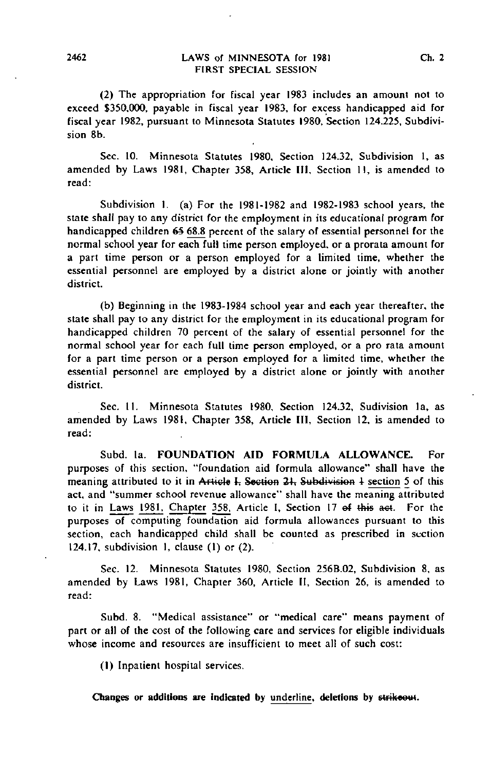(2) The appropriation for fiscal year 1983 includes an amount not to exceed \$350,000, payable in fiscal year 1983, for excess handicapped aid for fiscal year 1982, pursuant to Minnesota Statutes 1980, Section 124.225, Subdivision 8b.

Sec. 10. Minnesota Statutes 1980, Section 124.32, Subdivision 1, as amended by Laws 1981, Chapter 358, Article III, Section II, is amended to read:

Subdivision 1. (a) For the 1981-1982 and 1982-1983 school years, the state shall pay to any district for the employment in its educational program for handicapped children 6§ 68.8 percent of the salary of essential personnel for the normal school year for each full time person employed, or a prorata amount for a part time person or a person employed for a limited time, whether the essential personnel are employed by a district alone or jointly with another district.

(b) Beginning in the 1983-1984 school year and each year thereafter, the state shall pay to any district for the employment in its educational program for handicapped children 70 percent of the salary of essential personnel for the normal school year for each full time person employed, or a pro rata amount for a part time person or a person employed for a limited time, whether the essential personnel are employed by a district alone or jointly with another district.

Sec. 11. Minnesota Statutes 1980, Section 124.32, Sudivision la, as amended by Laws 1981, Chapter 358, Article III, Section 12, is amended to read:

Subd. la. FOUNDATION AID FORMULA ALLOWANCE. For purposes of this section, "foundation aid formula allowance" shall have the meaning attributed to it in Article I, Section 21, Subdivision 1 section 5 of this act, and "summer school revenue allowance" shall have the meaning attributed to it in Laws 1981. Chapter 358. Article I, Section 17 of this aet. For the purposes of computing foundation aid formula allowances pursuant to this section, each handicapped child shall be counted as prescribed in section 124.17, subdivision 1, clause (1) or (2).

Sec. 12. Minnesota Statutes 1980, Section 256B.02, Subdivision 8, as amended by Laws 1981, Chapter 360, Article II, Section 26, is amended to read:

Subd. 8. "Medical assistance" or "medical care" means payment of part or all of the cost of the following care and services for eligible individuals whose income and resources are insufficient to meet all of such cost:

(I) Inpatient hospital services.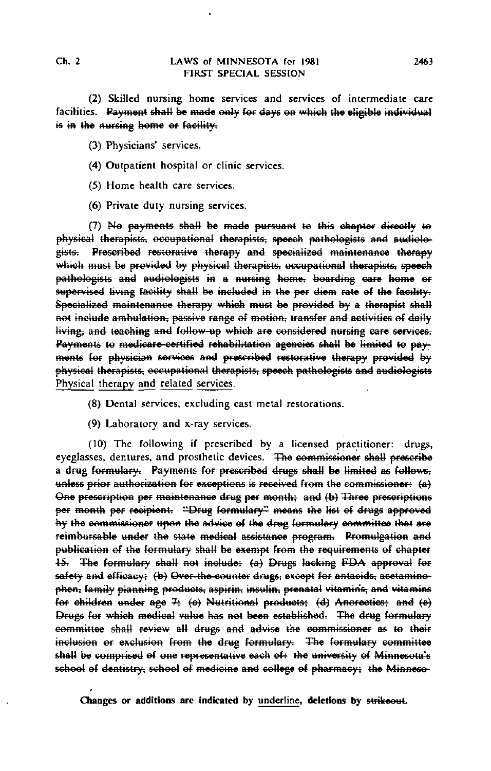(2) Skilled nursing home services and services of intermediate care facilities. Payment shall be made only for days on which the eligible individual is in the nursing home or facility.

(3) Physicians' services.

- (4) Outpatient hospital or clinic services.
- (5) Home health care services.
- (6) Private duty nursing services.

(7) No payments shall be made pursuant to this chapter directly to physical therapists, occupational therapists, speech pathologists and audiologists. Prescribed restorative therapy and specialized maintenance therapy which must be provided by physical therapists; occupational therapists; speech pathologists and audiologists in a nursing home, boarding care home or supervised living facility shall be included in the per diem rate of the facility. Specialized maintenance therapy which must be provided by a therapist shall not include ambulation, passive range of motion, transfer and activities of daily living, and teaching and follow-up which are considered nursing care services. Payments to medicare-certified rehabilitation agencies shall be limited to payments fef physician services and prescribed restorative therapy provided by physical therapists, occupational therapists, speech pathologists and audiologists Physical therapy and related services.

- (8) Dental services, excluding cast metal restorations.
- (9) Laboratory and x-ray services.

(10) The following if prescribed by a licensed practitioner: drugs, eyeglasses, dentures, and prosthetic devices. The commissioner shall prescribe a drug formulary. Payments for prescribed drugs shall be limited as follows, unless prior authorization for exceptions is received from the commissioner: (a) One prescription per maintenance drug per month; and (b) Three prescriptions per month per recipient. "Drug formulary" means the list of drugs approved by the commissioner upon the advice ef the drug formulary committee that are reimbursable under the state medical assistance program; Promulgation and publication of the formulary shall be exempt from the requirements of chapter 15. The formulary shall not include: (a) Drugs lacking FDA approval for safety and efficacy; (b) Over-the-counter drugs; except for antacids, acetaminophen, family planning products, aspirin, insulin, prenatal vitamins, and vitamins for children under age  $7;$  (e) Nutritional products; (d) Anorectics; and (e) Drugs for which medical value has not been established; The drug formulary committee shall review all drugs and advise the commissioner as te their inclusion or exclusion from the drug formulary. The formulary committee shall be comprised of one representative each of the university of Minnesota's school of dentistry, school of medicine and college of pharmacy; the Minneso-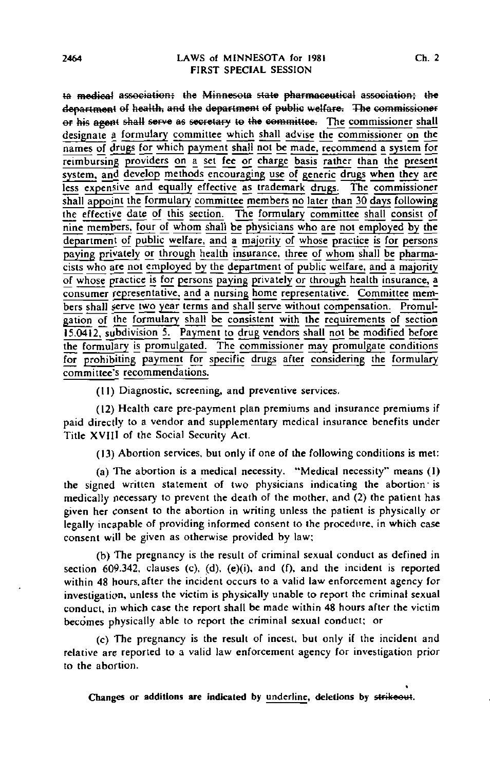ta medical association; the Minnesota state pharmaceutical association; the department of health, and the department of public welfare. The commissioner or his agent shall serve as secretary to the committee. The commissioner shall designate a formulary committee which shall advise the commissioner on the names of drugs for which payment shall not be made, recommend a system for reimbursing providers on a set fee or charge basis rather than the present system, and develop methods encouraging use of generic drugs when they are less expensive and equally effective as trademark drugs. The commissioner shall appoint the formulary committee members no later than 30 days following the effective date of this section. The formulary committee shall consist of nine members, four of whom shall be physicians who are not employed by the department of public welfare, and a majority of whose practice is for persons paying privately or through health insurance, three of whom shall be pharmacists who are not employed by the department of public welfare, and a majority of whose practice is for persons paying privately or through health insurance, a consumer representative, and a nursing home representative. Committee members shall serve two year terms and shall serve without compensation. Promulgation of the formulary shall be consistent with the requirements of section 15.0412, subdivision 5. Payment to drug vendors shall not be modified before the formulary is promulgated. The commissioner may promulgate conditions for prohibiting payment for specific drugs after considering the formulary committee's recommendations.

(11) Diagnostic, screening, and preventive services.

(12) Health care pre-payment plan premiums and insurance premiums if paid directly to a vendor and supplementary medical insurance benefits under Title XVIII of the Social Security Act.

(13) Abortion services, but only if one of the following conditions is met:

(a) The abortion is a medical necessity. "Medical necessity" means (1) the signed written statement of two physicians indicating the abortion "is medically necessary to prevent the death of the mother, and (2) the patient has given her consent to the abortion in writing unless the patient is physically or legally incapable of providing informed consent to the procedure, in which case consent will be given as otherwise provided by law;

(b) The pregnancy is the result of criminal sexual conduct as defined in section 609.342, clauses (c), (d), (e)(i), and (f), and the incident is reported within 48 hours, after the incident occurs to a valid law enforcement agency for investigation, unless the victim is physically unable to report the criminal sexual conduct, in which case the report shall be made within 48 hours after the victim becomes physically able to report the criminal sexual conduct; or

(c) The pregnancy is the result of incest, but only if the incident and relative are reported to a valid law enforcement agency for investigation prior to the abortion.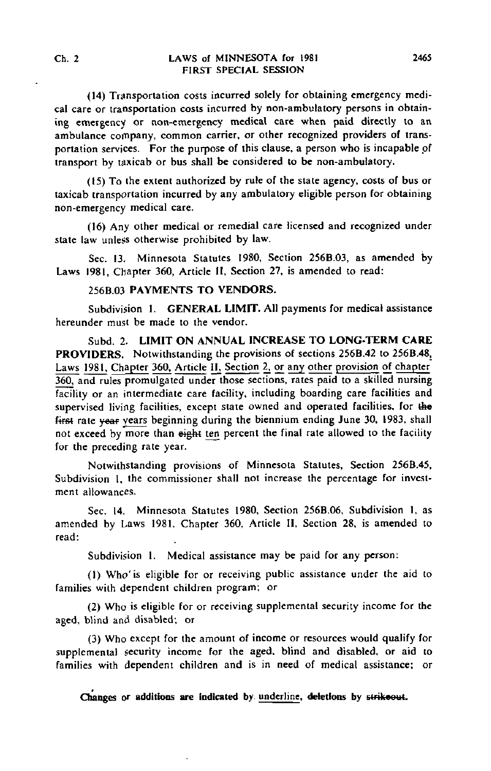## Ch. 2 LAWS of MINNESOTA for 1981 2465 FIRST SPECIAL SESSION

(14) Transportation costs incurred solely for obtaining emergency medical care or transportation costs incurred by non-ambulatory persons in obtaining emergency or non-emergency medical care when paid directly to an ambulance company, common carrier, or other recognized providers of transportation services. For the purpose of this clause, a person who is incapable of transport by taxicab or bus shall be considered to be non-ambulatory.

(15) To the extent authorized by rule of the state agency, costs of bus or taxicab transportation incurred by any ambulatory eligible person for obtaining non-emergency medical care.

(16) Any other medical or remedial care licensed and recognized under state law unless otherwise prohibited by law.

Sec. 13. Minnesota Statutes 1980, Section 256B.03, as amended by Laws 1981, Chapter 360, Article II, Section 27, is amended to read:

## 256B.03 PAYMENTS TO VENDORS.

Subdivision 1. GENERAL LIMIT. All payments for medical assistance hereunder must be made to the vendor.

Subd. 2. LIMIT ON ANNUAL INCREASE TO LONG-TERM CARE PROVIDERS. Notwithstanding the provisions of sections 256B.42 to 256B.48, Laws 1981. Chapter 360. Article H. Section 2, or any other provision of chapter 360, and rules promulgated under those sections, rates paid to a skilled nursing facility or an intermediate care facility, including boarding care facilities and supervised living facilities, except state owned and operated facilities, for the first rate year years beginning during the biennium ending June 30, 1983, shall not exceed by more than  $\frac{1}{2}$  ten percent the final rate allowed to the facility for the preceding rate year.

Notwithstanding provisions of Minnesota Statutes, Section 256B.45, Subdivision I, the commissioner shall not increase the percentage for investment allowances.

Sec. 14. Minnesota Statutes 1980, Section 256B.06, Subdivision 1, as amended by Laws 1981, Chapter 360, Article II, Section 28, is amended to read:

Subdivision 1. Medical assistance may be paid for any person:

(1) Who'is eligible for or receiving public assistance under the aid to families with dependent children program; or

(2) Who is eligible for or receiving supplemental security income for the aged, blind and disabled; or

(3) Who except for the amount of income or resources would qualify for supplemental security income for the aged, blind and disabled, or aid to families with dependent children and is in need of medical assistance; or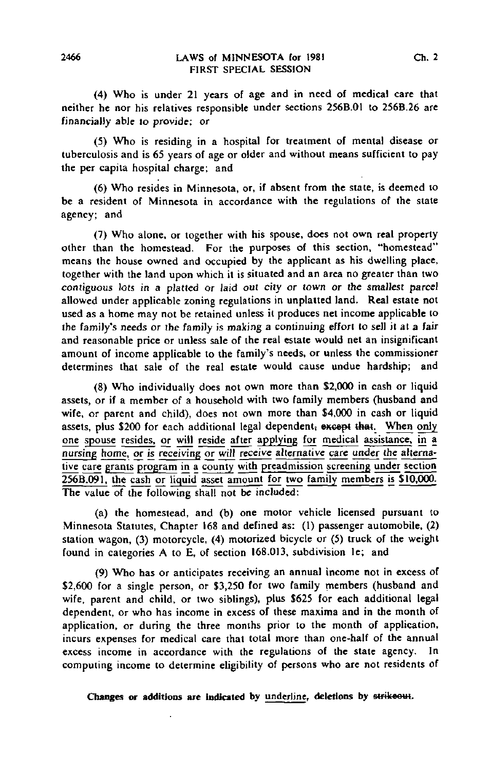(4) Who is under 21 years of age and in need of medical care that neither he nor his relatives responsible under sections 256B.01 to 256B.26 are financially able to provide; or

(5) Who is residing in a hospital for treatment of mental disease or tuberculosis and is 65 years of age or older and without means sufficient to pay the per capita hospital charge; and

(6) Who resides in Minnesota, or, if absent from the state, is deemed to be a resident of Minnesota in accordance with the regulations of the state agency; and

(7) Who alone, or together with his spouse, does not own real property other than the homestead. For the purposes of this section, "homestead" means the house owned and occupied by the applicant as his dwelling place, together with the land upon which it is situated and an area no greater than two contiguous lots in a platted or laid out city or town or the smallest parcel allowed under applicable zoning regulations in unplatted land. Real estate not used as a home may not be retained unless it produces net income applicable to the family's needs or the family is making a continuing effort to sell it at a fair and reasonable price or unless sale of the real estate would net an insignificant amount of income applicable to the family's needs, or unless the commissioner determines that sale of the real estate would cause undue hardship; and

(8) Who individually does not own more than \$2,000 in cash or liquid assets, or if a member of a household with two family members (husband and wife, or parent and child), does not own more than \$4,000 in cash or liquid assets, plus \$200 for each additional legal dependent, except that. When only one spouse resides, or will reside after applying for medical assistance, in a nursing home, or is receiving or will receive alternative care under the alternative care grants program in a county with preadmission screening under section  $256B.091$ , the cash or liquid asset amount for two family members is  $$10,000$ . The value of the following shall not be included:

(a) the homestead, and (b) one motor vehicle licensed pursuant to Minnesota Statutes, Chapter 168 and defined as: (1) passenger automobile, (2) station wagon, (3) motorcycle, (4) motorized bicycle or (5) truck of the weight found in categories A to E, of section 168.013, subdivision le; and

(9) Who has or anticipates receiving an annual income not in excess of \$2,600 for a single person, or \$3,250 for two family members (husband and wife, parent and child, or two siblings), plus \$625 for each additional legal dependent, or who has income in excess of these maxima and in the month of application, or during the three months prior to the month of application, incurs expenses for medical care that total more than one-half of the annual excess income in accordance with the regulations of the state agency. In computing income to determine eligibility of persons who are not residents of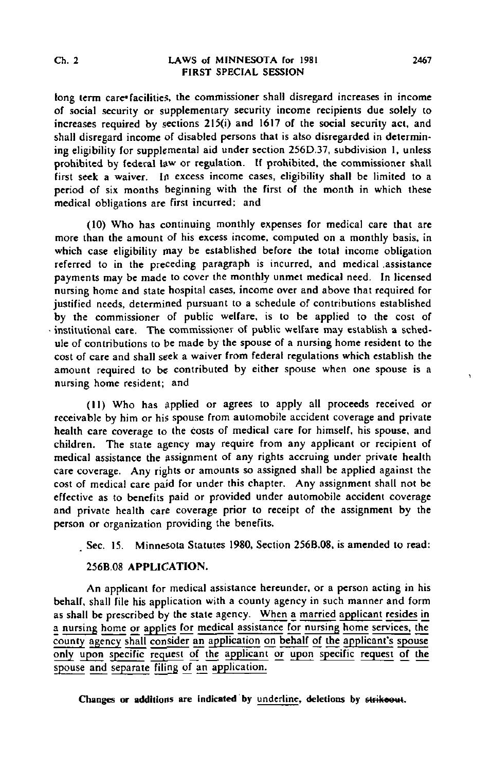#### Ch. 2 LAWS of MINNESOTA for 1981 2467 FIRST SPECIAL SESSION

long term care\* facilities, the commissioner shall disregard increases in income of social security or supplementary security income recipients due solely to increases required by sections 215(i) and 1617 of the social security act, and shall disregard income of disabled persons that is also disregarded in determining eligibility for supplemental aid under section 256D.37, subdivision 1, unless prohibited by federal law or regulation. If prohibited, the commissioner shall first seek a waiver. In excess income cases, eligibility shall be limited to a period of six months beginning with the first of the month in which these medical obligations are first incurred; and

(10) Who has continuing monthly expenses for medical care that are more than the amount of his excess income, computed on a monthly basis, in which case eligibility may be established before the total income obligation referred to in the preceding paragraph is incurred, and medical assistance payments may be made to cover the monthly unmet medical need. In licensed nursing home and state hospital cases, income over and above that required for justified needs, determined pursuant to a schedule of contributions established by the commissioner of public welfare, is to be applied to the cost of • institutional care. The commissioner of public welfare may establish a schedule of contributions to be made by the spouse of a nursing home resident to the cost of care and shall seek a waiver from federal regulations which establish the amount required to be contributed by either spouse when one spouse is a nursing home resident; and

(11) Who has applied or agrees to apply all proceeds received or receivable by him or his spouse from automobile accident coverage and private health care coverage to the costs of medical care for himself, his spouse, and children. The state agency may require from any applicant or recipient of medical assistance the assignment of any rights accruing under private health care coverage. Any rights or amounts so assigned shall be applied against the cost of medical care paid for under this chapter. Any assignment shall not be effective as to benefits paid or provided under automobile accident coverage and private health care coverage prior to receipt of the assignment by the person or organization providing the benefits.

Sec. 15. Minnesota Statutes 1980, Section 256B.08, is amended to read:

## 256B.08 APPLICATION.

An applicant for medical assistance hereunder, or a person acting in his behalf, shall file his application with a county agency in such manner and form as shall be prescribed by the state agency. When a married applicant resides in a nursing home or applies for medical assistance for nursing home services, the county agency shall consider an application on behalf of the applicant's spouse only upon specific request of the applicant or upon specific request of the spouse and separate filing of an application.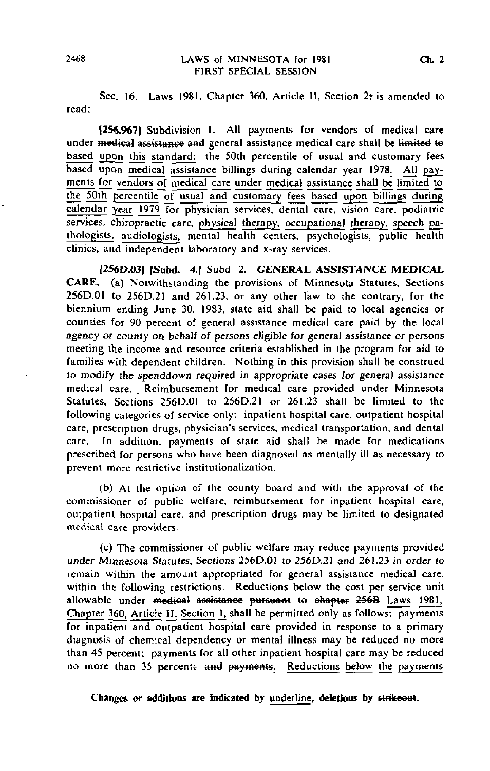Sec. 16. Laws 1981, Chapter 360, Article II, Section 2, is amended to read:

1256.9671 Subdivision 1. All payments for vendors of medical care under medical assistance and general assistance medical care shall be limited to based upon this standard: the 50th percentile of usual and customary fees based upon medical assistance billings during calendar year 1978. All payments for vendors of medical care under medical assistance shall be limited to the 50th percentile of usual and customary fees based upon billings during calendar year 1979 for physician services, dental care, vision care, podiatric services, chiropractic care, physical therapy, occupational therapy, speech gathologists, audiologists. mental health centers, psychologists, public health clinics, and independent laboratory and x-ray services.

[256D.03I |Subd. 4.] Subd. 2. GENERAL ASSISTANCE MEDICAL CARE, (a) Notwithstanding the provisions of Minnesota Statutes, Sections 256D.01 to 256D.21 and 261.23, or any other law to the contrary, for the biennium ending June 30, 1983, state aid shall be paid to local agencies or counties for 90 percent of general assistance medical care paid by the local agency or county on behalf of persons eligible for general assistance or persons meeting the income and resource criteria established in the program for aid to families with dependent children. Nothing in this provision shall be construed to modify the spenddown required in appropriate cases for general assistance medical care. Reimbursement for medical care provided under Minnesota Statutes, Sections 256D.01 to 256D.21 or 261.23 shall be limited to the following categories of service only: inpatient hospital care, outpatient hospital care, prescription drugs, physician's services, medical transportation, and dental care. In addition, payments of state aid shall be made for medications prescribed for persons who have been diagnosed as mentally ill as necessary to prevent more restrictive institutionalization.

(b) At the option of the county board and with the approval of the commissioner of public welfare, reimbursement for inpatient hospital care, outpatient hospital care, and prescription drugs may be limited to designated medical care providers.

(c) The commissioner of public welfare may reduce payments provided under Minnesota Statutes, Sections 256D.01 to 256D.2I and 261.23 in order to remain within the amount appropriated for general assistance medical care, within the following restrictions. Reductions below the cost per service unit allowable under medical assistance pursuant to chapter 256B Laws 1981, Chapter 360, Article II, Section 1, shall be permitted only as follows: payments for inpatient and outpatient hospital care provided in response to a primary diagnosis of chemical dependency or mental illness may be reduced no more than 45 percent; payments for all other inpatient hospital care may be reduced no more than 35 percent; and payments. Reductions below the payments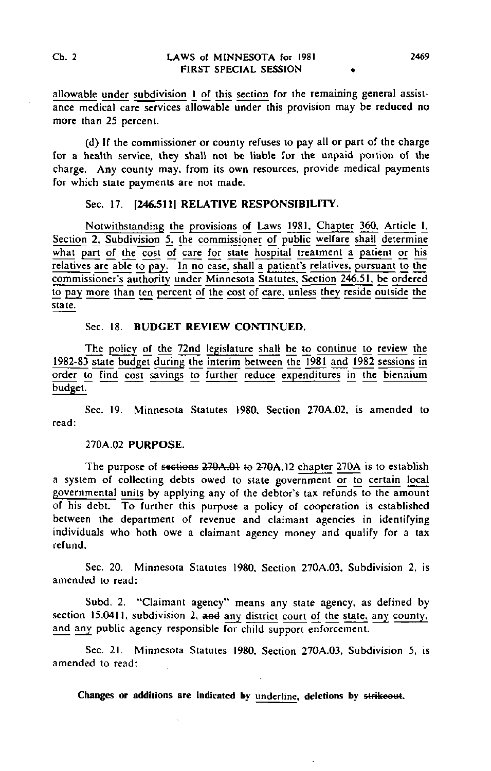allowable under subdivision 1 of this section for the remaining general assistance medical care services allowable under this provision may be reduced no more than 25 percent.

(d) If the commissioner or county refuses to pay all or part of the charge for a health service, they shall not be liable for the unpaid portion of the charge. Any county may, from its own resources, provide medical payments for which state payments are not made.

# Sec. 17. **1246.5111 RELATIVE RESPONSIBILITY.**

Notwithstanding the provisions of Laws 1981. Chapter 360, Article I, Section 2, Subdivision 5, the commissioner of public welfare shall determine what part of the cost of care for state hospital treatment a patient or his relatives are able to pay. In no case, shall a patient's relatives, pursuant to the commissioner's authority under Minnesota Statutes, Section 246.51. be ordered to pay more than ten percent of the cost of care, unless they reside outside the state.

# Sec. 18. BUDGET REVIEW CONTINUED.

The policy of the 72nd legislature shall be to continue to review the 1982-83 state budget during the interim between the 1981 and 1982 sessions in order to Find cost savings to further reduce expenditures in the biennium budget.

Sec. 19. Minnesota Statutes 1980, Section 270A.02, is amended to read:

#### 270A.02 PURPOSE.

The purpose of sections 270A.01 to 270A.12 chapter 270A is to establish a system of collecting debts owed to state government or to certain local governmental units by applying any of the debtor's tax refunds to the amount of his debt. To further this purpose a policy of cooperation is established between the department of revenue and claimant agencies in identifying individuals who both owe a claimant agency money and qualify for a tax refund.

Sec. 20. Minnesota Statutes 1980, Section 270A.03. Subdivision 2, is amended to read:

Subd. 2. "Claimant agency" means any state agency, as defined by section 15.0411, subdivision 2, and any district court of the state, any county, and any public agency responsible for child support enforcement.

Sec. 21. Minnesota Statutes 1980, Section 270A.03, Subdivision 5, is amended to read: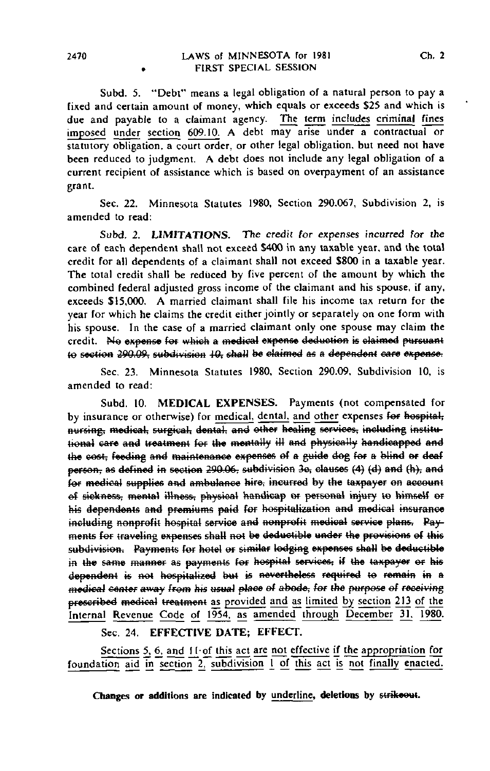Subd. 5. "Debt" means a legal obligation of a natural person to pay a fixed and certain amount of money, which equals or exceeds \$25 and which is due and payable to a claimant agency. The term includes criminal fines imposed under section 609.10. A debt may arise under a contractual or statutory obligation, a court order, or other legal obligation, but need not have been reduced to judgment. A debt does not include any legal obligation of a current recipient of assistance which is based on overpayment of an assistance grant.

Sec. 22. Minnesota Statutes 1980, Section 290.067, Subdivision 2, is amended to read:

Subd. 2. LIMITATIONS. The credit for expenses incurred for the care of each dependent shall not exceed \$400 in any taxable year, and the total credit for all dependents of a claimant shall not exceed \$800 in a taxable year. The total credit shall be reduced by five percent of the amount by which the combined federal adjusted gross income of the claimant and his spouse, if any, exceeds \$15,000. A married claimant shall file his income tax return for the year for which he claims the credit either jointly or separately on one form with his spouse. In the case of a married claimant only one spouse may claim the credit. No expense for which a medical expense deduction is claimed pursuant to section 290.09, subdivision 10, shall be claimed as a dependent care expense.

Sec, 23. Minnesota Statutes 1980, Section 290.09, Subdivision 10, is amended to read:

Subd. 10. MEDICAL EXPENSES. Payments (not compensated for by insurance or otherwise) for medical, dental, and other expenses for hospital, nursing, medical, surgical, dental, and other healing services, including institutional care and treatment for the mentally ill and physically handicapped and the cost, feeding and maintenance expenses of a guide dog for a blind or deaf person, as defined in section 290.06, subdivision 3e, clauses (4) (d) and (h), and fef medical supplies and ambulance hire; incurred by the taxpayer en account of sickness, mental illness, physical handicap or personal injury to himself or his dependents and premiums paid for hospitalization and medical insurance including nonprofit hospital service and nonprofit medical service plans. Payments for traveling expenses shall not be deductible under the provisions of this subdivision. Payments for hotel or similar lodging expenses shall be deductible in the same manner as payments for hospital services, if the taxpayer or his dependent is not hospitalized but is nevertheless required to remain in a medical center away from his usual place of abode, for the purpose of receiving prescribed medical treatment as provided and as limited by section 213 of the Internal Revenue Code of 1954, as amended through December 31, 1980.

Sec. 24. EFFECTIVE DATE; EFFECT.

Sections 5, 6, and 11 of this act are not effective if the appropriation for foundation aid in section 2, subdivision 1 of this act is not finally enacted.